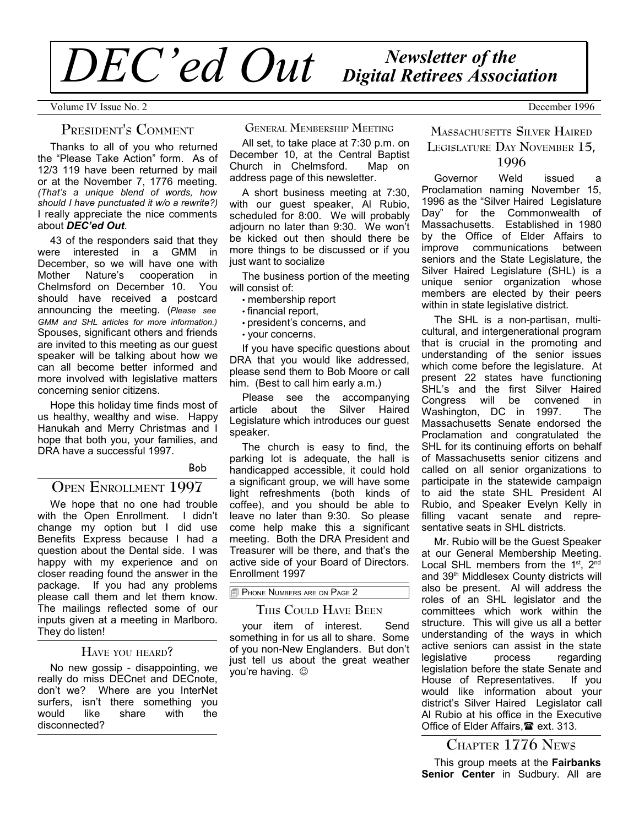# *Newsletter of the DEC'ed Out Digital Retirees Association*

Volume IV Issue No. 2 December 1996

# **PRESIDENT'S COMMENT**

Thanks to all of you who returned the "Please Take Action" form. As of 12/3 119 have been returned by mail or at the November 7, 1776 meeting. *(That's a unique blend of words, how should I have punctuated it w/o a rewrite?)* I really appreciate the nice comments about *DEC'ed Out*.

43 of the responders said that they were interested in a GMM in December, so we will have one with Mother Nature's cooperation in Chelmsford on December 10. You should have received a postcard announcing the meeting. (*Please see GMM and SHL articles for more information.)* Spouses, significant others and friends are invited to this meeting as our guest speaker will be talking about how we can all become better informed and more involved with legislative matters concerning senior citizens.

Hope this holiday time finds most of us healthy, wealthy and wise. Happy Hanukah and Merry Christmas and I hope that both you, your families, and DRA have a successful 1997.

#### Bob

# **OPEN ENROLLMENT 1997**

We hope that no one had trouble with the Open Enrollment. I didn't change my option but I did use Benefits Express because I had a question about the Dental side. I was happy with my experience and on closer reading found the answer in the package. If you had any problems please call them and let them know. The mailings reflected some of our inputs given at a meeting in Marlboro. They do listen!

## **HAVE YOU HEARD?**

No new gossip - disappointing, we really do miss DECnet and DECnote, don't we? Where are you InterNet surfers, isn't there something you would like share with the disconnected?

**GENERAL MEMBERSHIP MEETING**

All set, to take place at 7:30 p.m. on December 10, at the Central Baptist<br>Church in Chelmsford. Map on Church in Chelmsford. address page of this newsletter.

A short business meeting at 7:30, with our guest speaker, Al Rubio, scheduled for 8:00. We will probably adjourn no later than 9:30. We won't be kicked out then should there be more things to be discussed or if you just want to socialize

The business portion of the meeting will consist of:

- membership report
- financial report,
- president's concerns, and
- your concerns.

If you have specific questions about DRA that you would like addressed, please send them to Bob Moore or call him. (Best to call him early a.m.)

Please see the accompanying article about the Silver Haired Legislature which introduces our guest speaker.

The church is easy to find, the parking lot is adequate, the hall is handicapped accessible, it could hold a significant group, we will have some light refreshments (both kinds of coffee), and you should be able to leave no later than 9:30. So please come help make this a significant meeting. Both the DRA President and Treasurer will be there, and that's the active side of your Board of Directors. Enrollment 1997

## PHONE NUMBERS ARE ON PAGE 2

# **THIS COULD HAVE BEEN**

your item of interest. Send something in for us all to share. Some of you non-New Englanders. But don't just tell us about the great weather you're having.  $\odot$ 

# **MASSACHUSETTS SILVER HAIRED LEGISLATURE DAY NOVEMBER 15, 1996**

Governor Weld issued a Proclamation naming November 15, 1996 as the "Silver Haired Legislature Day" for the Commonwealth of Massachusetts. Established in 1980 by the Office of Elder Affairs to improve communications between seniors and the State Legislature, the Silver Haired Legislature (SHL) is a unique senior organization whose members are elected by their peers within in state legislative district.

The SHL is a non-partisan, multicultural, and intergenerational program that is crucial in the promoting and understanding of the senior issues which come before the legislature. At present 22 states have functioning SHL's and the first Silver Haired Congress will be convened in<br>Washington DC in 1997. The Washington, DC in 1997. Massachusetts Senate endorsed the Proclamation and congratulated the SHL for its continuing efforts on behalf of Massachusetts senior citizens and called on all senior organizations to participate in the statewide campaign to aid the state SHL President Al Rubio, and Speaker Evelyn Kelly in filling vacant senate and representative seats in SHL districts.

Mr. Rubio will be the Guest Speaker at our General Membership Meeting. Local SHL members from the  $1<sup>st</sup>$ ,  $2<sup>nd</sup>$ and 39<sup>th</sup> Middlesex County districts will also be present. Al will address the roles of an SHL legislator and the committees which work within the structure. This will give us all a better understanding of the ways in which active seniors can assist in the state legislative process regarding legislation before the state Senate and House of Representatives. If you would like information about your district's Silver Haired Legislator call Al Rubio at his office in the Executive Office of Elder Affairs.<sup>2</sup> ext. 313.

# **CHAPTER 1776 NEWS**

This group meets at the **Fairbanks Senior Center** in Sudbury. All are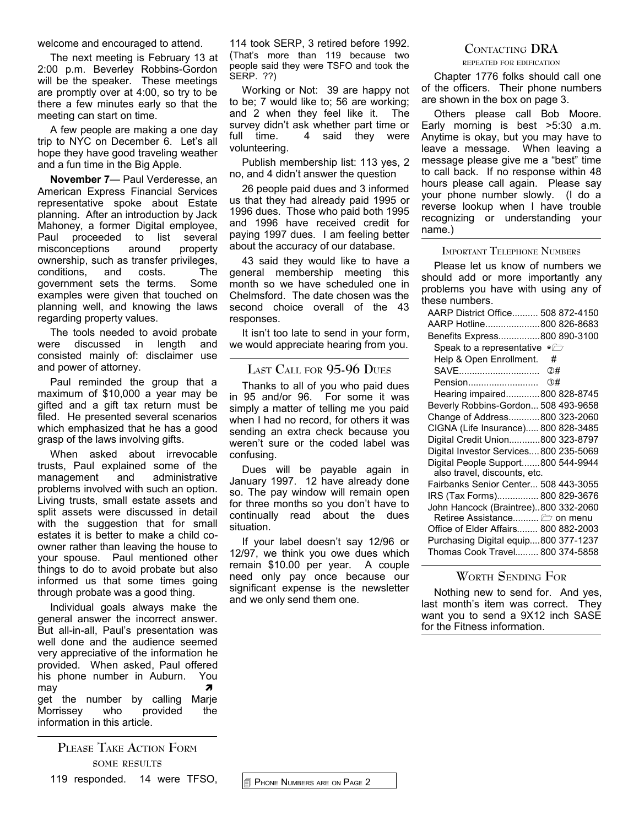welcome and encouraged to attend.

The next meeting is February 13 at 2:00 p.m. Beverley Robbins-Gordon will be the speaker. These meetings are promptly over at 4:00, so try to be there a few minutes early so that the meeting can start on time.

A few people are making a one day trip to NYC on December 6. Let's all hope they have good traveling weather and a fun time in the Big Apple.

**November 7**— Paul Verderesse, an American Express Financial Services representative spoke about Estate planning. After an introduction by Jack Mahoney, a former Digital employee, Paul proceeded to list several misconceptions around property ownership, such as transfer privileges, conditions, and costs. The government sets the terms. Some examples were given that touched on planning well, and knowing the laws regarding property values.

The tools needed to avoid probate were discussed in length and consisted mainly of: disclaimer use and power of attorney.

Paul reminded the group that a maximum of \$10,000 a year may be gifted and a gift tax return must be filed. He presented several scenarios which emphasized that he has a good grasp of the laws involving gifts.

When asked about irrevocable trusts, Paul explained some of the management and administrative problems involved with such an option. Living trusts, small estate assets and split assets were discussed in detail with the suggestion that for small estates it is better to make a child coowner rather than leaving the house to your spouse. Paul mentioned other things to do to avoid probate but also informed us that some times going through probate was a good thing.

Individual goals always make the general answer the incorrect answer. But all-in-all, Paul's presentation was well done and the audience seemed very appreciative of the information he provided. When asked, Paul offered his phone number in Auburn. You  $\mathbf{m}$ ay  $\mathbf{m}$ get the number by calling Marje Morrissey who provided the information in this article.

**PLEASE TAKE ACTION FORM SOME RESULTS** 119 responded. 14 were TFSO, 114 took SERP, 3 retired before 1992. (That's more than 119 because two people said they were TSFO and took the SERP. ??)

Working or Not: 39 are happy not to be; 7 would like to; 56 are working; and 2 when they feel like it. The survey didn't ask whether part time or full time. 4 said they were volunteering.

Publish membership list: 113 yes, 2 no, and 4 didn't answer the question

26 people paid dues and 3 informed us that they had already paid 1995 or 1996 dues. Those who paid both 1995 and 1996 have received credit for paying 1997 dues. I am feeling better about the accuracy of our database.

43 said they would like to have a general membership meeting this month so we have scheduled one in Chelmsford. The date chosen was the second choice overall of the 43 responses.

It isn't too late to send in your form, we would appreciate hearing from you.

## **LAST CALL FOR 95-96 DUES**

Thanks to all of you who paid dues in 95 and/or 96. For some it was simply a matter of telling me you paid when I had no record, for others it was sending an extra check because you weren't sure or the coded label was confusing.

Dues will be payable again in January 1997. 12 have already done so. The pay window will remain open for three months so you don't have to continually read about the dues situation.

If your label doesn't say 12/96 or 12/97, we think you owe dues which remain \$10.00 per year. A couple need only pay once because our significant expense is the newsletter and we only send them one.

## **CONTACTING DRA**

#### **REPEATED FOR EDIFICATION**

Chapter 1776 folks should call one of the officers. Their phone numbers are shown in the box on page 3.

Others please call Bob Moore. Early morning is best >5:30 a.m. Anytime is okay, but you may have to leave a message. When leaving a message please give me a "best" time to call back. If no response within 48 hours please call again. Please say your phone number slowly. (I do a reverse lookup when I have trouble recognizing or understanding your name.)

#### **IMPORTANT TELEPHONE NUMBERS**

Please let us know of numbers we should add or more importantly any problems you have with using any of these numbers.

| AARP District Office 508 872-4150             |
|-----------------------------------------------|
| AARP Hotline800 826-8683                      |
| Benefits Express800 890-3100                  |
| Speak to a representative * $\triangleright$  |
| Help & Open Enrollment.<br>#                  |
|                                               |
| Pension<br>③#                                 |
| Hearing impaired800 828-8745                  |
| Beverly Robbins-Gordon 508 493-9658           |
| Change of Address800 323-2060                 |
| CIGNA (Life Insurance) 800 828-3485           |
| Digital Credit Union800 323-8797              |
| Digital Investor Services 800 235-5069        |
| Digital People Support800 544-9944            |
| also travel, discounts, etc.                  |
| Fairbanks Senior Center 508 443-3055          |
| IRS (Tax Forms) 800 829-3676                  |
| John Hancock (Braintree)800 332-2060          |
| Retiree Assistance $\trianglerighteq$ on menu |
| Office of Elder Affairs 800 882-2003          |
| Purchasing Digital equip800 377-1237          |
| Thomas Cook Travel 800 374-5858               |

# **WORTH SENDING FOR**

Nothing new to send for. And yes, last month's item was correct. They want you to send a 9X12 inch SASE for the Fitness information.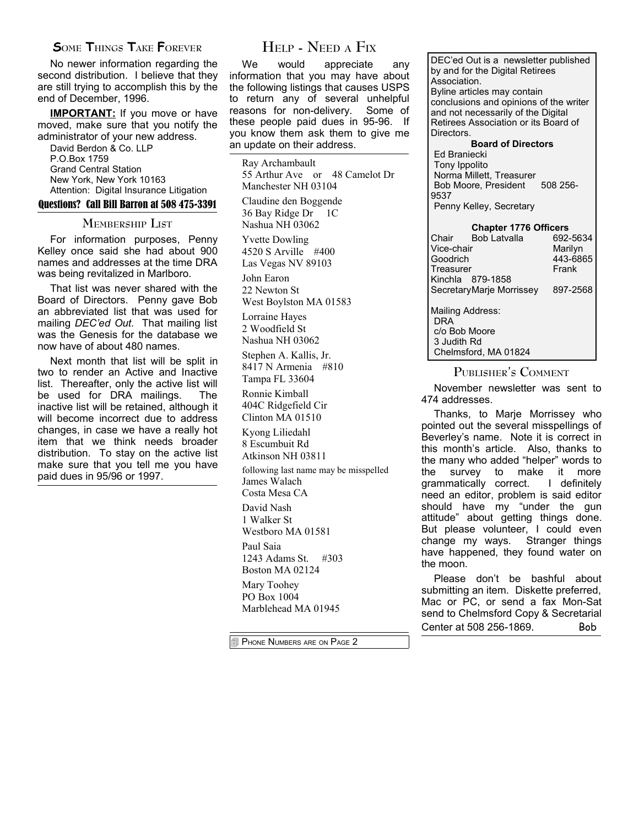# **SOME THINGS TAKE FOREVER**

No newer information regarding the second distribution. I believe that they are still trying to accomplish this by the end of December, 1996.

**IMPORTANT:** If you move or have moved, make sure that you notify the administrator of your new address.

David Berdon & Co. LLP P.O.Box 1759 Grand Central Station New York, New York 10163 Attention: Digital Insurance Litigation

## Questions? Call Bill Barron at 508 475-3391

## **MEMBERSHIP LIST**

For information purposes, Penny Kelley once said she had about 900 names and addresses at the time DRA was being revitalized in Marlboro.

That list was never shared with the Board of Directors. Penny gave Bob an abbreviated list that was used for mailing *DEC'ed Out.* That mailing list was the Genesis for the database we now have of about 480 names.

Next month that list will be split in two to render an Active and Inactive list. Thereafter, only the active list will be used for DRA mailings. The inactive list will be retained, although it will become incorrect due to address changes, in case we have a really hot item that we think needs broader distribution. To stay on the active list make sure that you tell me you have paid dues in 95/96 or 1997.

# **HELP - NEED <sup>A</sup> FIX**

We would appreciate any information that you may have about the following listings that causes USPS to return any of several unhelpful reasons for non-delivery. Some of these people paid dues in 95-96. If you know them ask them to give me an update on their address.

Ray Archambault 55 Arthur Ave or 48 Camelot Dr Manchester NH 03104

Claudine den Boggende 36 Bay Ridge Dr 1C Nashua NH 03062

Yvette Dowling 4520 S Arville #400 Las Vegas NV 89103

John Earon 22 Newton St West Boylston MA 01583

Lorraine Hayes 2 Woodfield St Nashua NH 03062

Stephen A. Kallis, Jr. 8417 N Armenia #810 Tampa FL 33604

Ronnie Kimball 404C Ridgefield Cir Clinton MA 01510

Kyong Liliedahl 8 Escumbuit Rd Atkinson NH 03811

following last name may be misspelled James Walach Costa Mesa CA

David Nash 1 Walker St

Westboro MA 01581 Paul Saia

1243 Adams St. #303 Boston MA 02124

Mary Toohey PO Box 1004 Marblehead MA 01945

PHONE NUMBERS ARE ON PAGE 2

DEC'ed Out is a newsletter published by and for the Digital Retirees Association. Byline articles may contain conclusions and opinions of the writer and not necessarily of the Digital Retirees Association or its Board of Directors.

**Board of Directors** Ed Braniecki Tony Ippolito Norma Millett, Treasurer Bob Moore, President 508 256-9537 Penny Kelley, Secretary

#### **Chapter 1776 Officers**

| Chair                     | <b>Bob Latvalla</b> | 692-5634 |  |
|---------------------------|---------------------|----------|--|
| Vice-chair                | Marilyn             |          |  |
| Goodrich                  |                     | 443-6865 |  |
| Treasurer                 |                     | Frank    |  |
|                           | Kinchla 879-1858    |          |  |
| Secretary Marie Morrissey |                     | 897-2568 |  |
|                           |                     |          |  |
| Mailing Address:          |                     |          |  |
| DRA                       |                     |          |  |
| c/o Bob Moore             |                     |          |  |
| 3 Judith Rd               |                     |          |  |
| Chelmsford, MA 01824      |                     |          |  |

## **PUBLISHER'<sup>S</sup> COMMENT**

November newsletter was sent to 474 addresses.

Thanks, to Marje Morrissey who pointed out the several misspellings of Beverley's name. Note it is correct in this month's article. Also, thanks to the many who added "helper" words to the survey to make it more grammatically correct. I definitely need an editor, problem is said editor should have my "under the gun attitude" about getting things done. But please volunteer, I could even change my ways. Stranger things have happened, they found water on the moon.

Please don't be bashful about submitting an item. Diskette preferred, Mac or PC, or send a fax Mon-Sat send to Chelmsford Copy & Secretarial Center at 508 256-1869. Bob